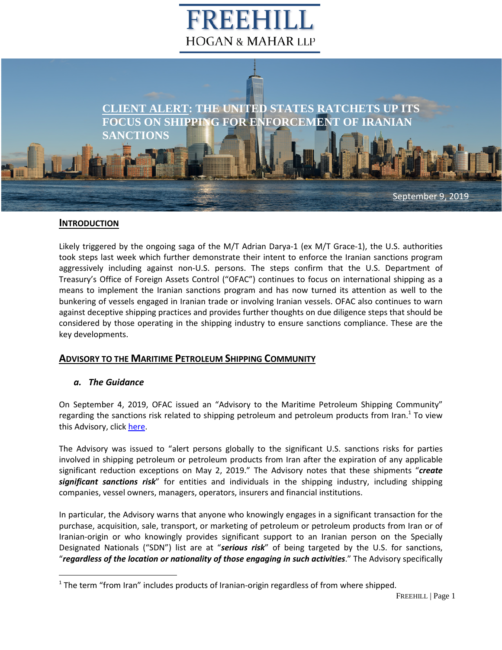# FREEH **HOGAN & MAHAR LLP**



## **INTRODUCTION**

Likely triggered by the ongoing saga of the M/T Adrian Darya-1 (ex M/T Grace-1), the U.S. authorities took steps last week which further demonstrate their intent to enforce the Iranian sanctions program aggressively including against non-U.S. persons. The steps confirm that the U.S. Department of Treasury's Office of Foreign Assets Control ("OFAC") continues to focus on international shipping as a means to implement the Iranian sanctions program and has now turned its attention as well to the bunkering of vessels engaged in Iranian trade or involving Iranian vessels. OFAC also continues to warn against deceptive shipping practices and provides further thoughts on due diligence steps that should be considered by those operating in the shipping industry to ensure sanctions compliance. These are the key developments.

# **ADVISORY TO THE MARITIME PETROLEUM SHIPPING COMMUNITY**

## *a. The Guidance*

On September 4, 2019, OFAC issued an "Advisory to the Maritime Petroleum Shipping Community" regarding the sanctions risk related to shipping petroleum and petroleum products from Iran.<sup>1</sup> To view this Advisory, click [here.](https://www.freehill.com/wp-content/uploads/2019/09/OFAC-Advisory-to-Maritime-Petroleum-Community-4-Sept-2019.pdf)

The Advisory was issued to "alert persons globally to the significant U.S. sanctions risks for parties involved in shipping petroleum or petroleum products from Iran after the expiration of any applicable significant reduction exceptions on May 2, 2019." The Advisory notes that these shipments "*create significant sanctions risk*" for entities and individuals in the shipping industry, including shipping companies, vessel owners, managers, operators, insurers and financial institutions.

In particular, the Advisory warns that anyone who knowingly engages in a significant transaction for the purchase, acquisition, sale, transport, or marketing of petroleum or petroleum products from Iran or of Iranian-origin or who knowingly provides significant support to an Iranian person on the Specially Designated Nationals ("SDN") list are at "*serious risk*" of being targeted by the U.S. for sanctions, "*regardless of the location or nationality of those engaging in such activities*." The Advisory specifically

 $1$  The term "from Iran" includes products of Iranian-origin regardless of from where shipped.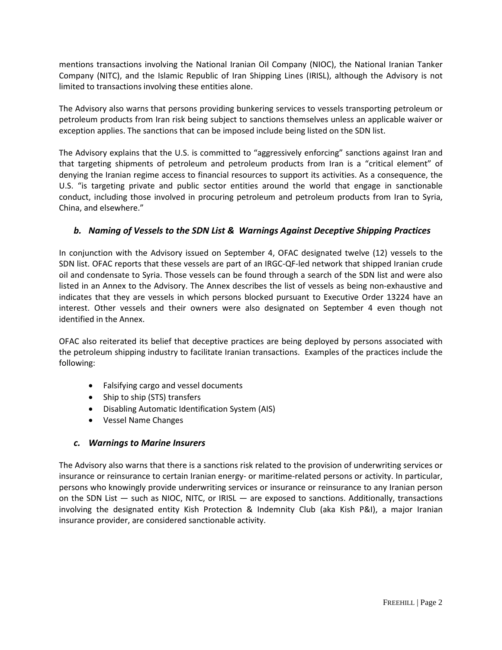Company (NITC), and the Islamic Republic of Iran Shipping Lines (IRISL), although the Advisory is not mentions transactions involving the National Iranian Oil Company (NIOC), the National Iranian Tanker limited to transactions involving these entities alone.

The Advisory also warns that persons providing bunkering services to vessels transporting petroleum or petroleum products from Iran risk being subject to sanctions themselves unless an applicable waiver or exception applies. The sanctions that can be imposed include being listed on the SDN list.

The Advisory explains that the U.S. is committed to "aggressively enforcing" sanctions against Iran and that targeting shipments of petroleum and petroleum products from Iran is a "critical element" of denying the Iranian regime access to financial resources to support its activities. As a consequence, the U.S. "is targeting private and public sector entities around the world that engage in sanctionable conduct, including those involved in procuring petroleum and petroleum products from Iran to Syria, China, and elsewhere."

## *b. Naming of Vessels to the SDN List & Warnings Against Deceptive Shipping Practices*

In conjunction with the Advisory issued on September 4, OFAC designated twelve (12) vessels to the SDN list. OFAC reports that these vessels are part of an IRGC-QF-led network that shipped Iranian crude oil and condensate to Syria. Those vessels can be found through a search of the SDN list and were also listed in an Annex to the Advisory. The Annex describes the list of vessels as being non-exhaustive and indicates that they are vessels in which persons blocked pursuant to Executive Order 13224 have an interest. Other vessels and their owners were also designated on September 4 even though not identified in the Annex.

OFAC also reiterated its belief that deceptive practices are being deployed by persons associated with the petroleum shipping industry to facilitate Iranian transactions. Examples of the practices include the following:

- Falsifying cargo and vessel documents
- Ship to ship (STS) transfers
- Disabling Automatic Identification System (AIS)
- Vessel Name Changes

## *c. Warnings to Marine Insurers*

The Advisory also warns that there is a sanctions risk related to the provision of underwriting services or insurance or reinsurance to certain Iranian energy- or maritime-related persons or activity. In particular, persons who knowingly provide underwriting services or insurance or reinsurance to any Iranian person on the SDN List — such as NIOC, NITC, or IRISL — are exposed to sanctions. Additionally, transactions involving the designated entity Kish Protection & Indemnity Club (aka Kish P&I), a major Iranian insurance provider, are considered sanctionable activity.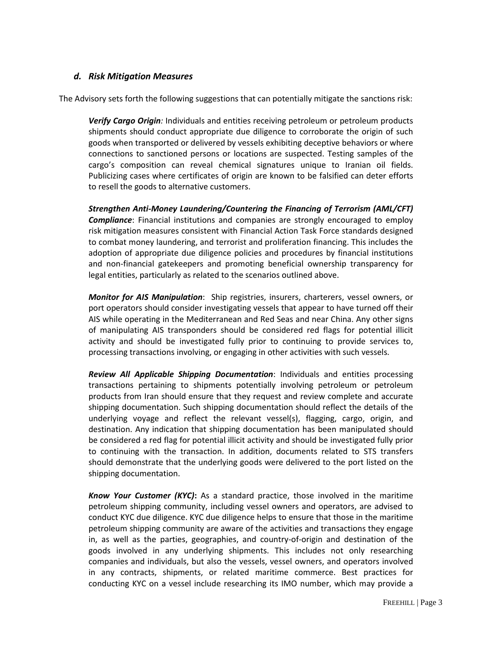### *d.* Risk Mitigation Measures

The Advisory sets forth the following suggestions that can potentially mitigate the sanctions risk:

*Verify Cargo Origin:* Individuals and entities receiving petroleum or petroleum products shipments should conduct appropriate due diligence to corroborate the origin of such goods when transported or delivered by vessels exhibiting deceptive behaviors or where connections to sanctioned persons or locations are suspected. Testing samples of the cargo's composition can reveal chemical signatures unique to Iranian oil fields. Publicizing cases where certificates of origin are known to be falsified can deter efforts to resell the goods to alternative customers.

*Strengthen Anti-Money Laundering/Countering the Financing of Terrorism (AML/CFT) Compliance*: Financial institutions and companies are strongly encouraged to employ risk mitigation measures consistent with Financial Action Task Force standards designed to combat money laundering, and terrorist and proliferation financing. This includes the adoption of appropriate due diligence policies and procedures by financial institutions and non-financial gatekeepers and promoting beneficial ownership transparency for legal entities, particularly as related to the scenarios outlined above.

*Monitor for AIS Manipulation*: Ship registries, insurers, charterers, vessel owners, or port operators should consider investigating vessels that appear to have turned off their AIS while operating in the Mediterranean and Red Seas and near China. Any other signs of manipulating AIS transponders should be considered red flags for potential illicit activity and should be investigated fully prior to continuing to provide services to, processing transactions involving, or engaging in other activities with such vessels.

*Review All Applicable Shipping Documentation*: Individuals and entities processing transactions pertaining to shipments potentially involving petroleum or petroleum products from Iran should ensure that they request and review complete and accurate shipping documentation. Such shipping documentation should reflect the details of the underlying voyage and reflect the relevant vessel(s), flagging, cargo, origin, and destination. Any indication that shipping documentation has been manipulated should be considered a red flag for potential illicit activity and should be investigated fully prior to continuing with the transaction. In addition, documents related to STS transfers should demonstrate that the underlying goods were delivered to the port listed on the shipping documentation.

*Know Your Customer (KYC)***:** As a standard practice, those involved in the maritime petroleum shipping community, including vessel owners and operators, are advised to conduct KYC due diligence. KYC due diligence helps to ensure that those in the maritime petroleum shipping community are aware of the activities and transactions they engage in, as well as the parties, geographies, and country-of-origin and destination of the goods involved in any underlying shipments. This includes not only researching companies and individuals, but also the vessels, vessel owners, and operators involved in any contracts, shipments, or related maritime commerce. Best practices for conducting KYC on a vessel include researching its IMO number, which may provide a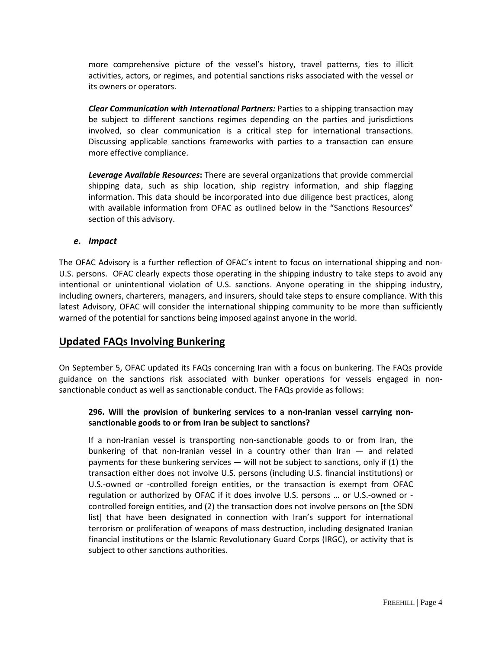activities, actors, or regimes, and potential sanctions risks associated with the vessel or more comprehensive picture of the vessel's history, travel patterns, ties to illicit its owners or operators.

*Clear Communication with International Partners:* Parties to a shipping transaction may be subject to different sanctions regimes depending on the parties and jurisdictions involved, so clear communication is a critical step for international transactions. Discussing applicable sanctions frameworks with parties to a transaction can ensure more effective compliance.

*Leverage Available Resources***:** There are several organizations that provide commercial shipping data, such as ship location, ship registry information, and ship flagging information. This data should be incorporated into due diligence best practices, along with available information from OFAC as outlined below in the "Sanctions Resources" section of this advisory.

#### *e. Impact*

The OFAC Advisory is a further reflection of OFAC's intent to focus on international shipping and non-U.S. persons. OFAC clearly expects those operating in the shipping industry to take steps to avoid any intentional or unintentional violation of U.S. sanctions. Anyone operating in the shipping industry, including owners, charterers, managers, and insurers, should take steps to ensure compliance. With this latest Advisory, OFAC will consider the international shipping community to be more than sufficiently warned of the potential for sanctions being imposed against anyone in the world.

# **Updated FAQs Involving Bunkering**

On September 5, OFAC updated its FAQs concerning Iran with a focus on bunkering. The FAQs provide guidance on the sanctions risk associated with bunker operations for vessels engaged in nonsanctionable conduct as well as sanctionable conduct. The FAQs provide as follows:

### **296. Will the provision of bunkering services to a non-Iranian vessel carrying nonsanctionable goods to or from Iran be subject to sanctions?**

If a non-Iranian vessel is transporting non-sanctionable goods to or from Iran, the bunkering of that non-Iranian vessel in a country other than Iran — and related payments for these bunkering services  $-$  will not be subject to sanctions, only if (1) the transaction either does not involve U.S. persons (including U.S. financial institutions) or U.S.-owned or -controlled foreign entities, or the transaction is exempt from OFAC regulation or authorized by OFAC if it does involve U.S. persons … or U.S.-owned or controlled foreign entities, and (2) the transaction does not involve persons on [the SDN list] that have been designated in connection with Iran's support for international terrorism or proliferation of weapons of mass destruction, including designated Iranian financial institutions or the Islamic Revolutionary Guard Corps (IRGC), or activity that is subject to other sanctions authorities.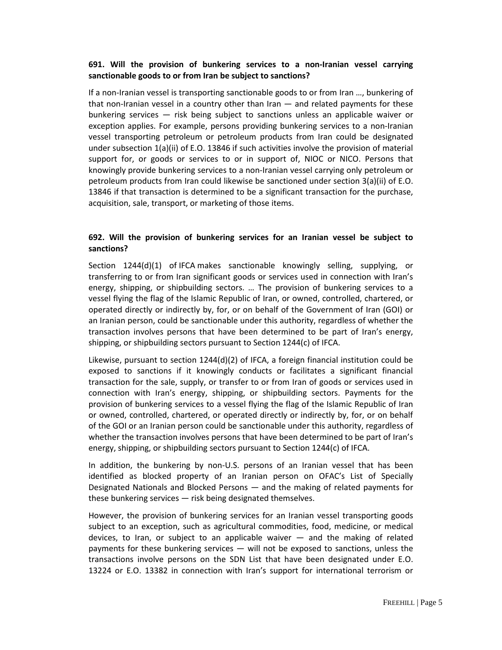#### **691. Will the provision of bunkering services to a non-Iranian vessel carrying sanctionable goods to or from Iran be subject to sanctions?**

If a non-Iranian vessel is transporting sanctionable goods to or from Iran …, bunkering of that non-Iranian vessel in a country other than Iran — and related payments for these bunkering services — risk being subject to sanctions unless an applicable waiver or exception applies. For example, persons providing bunkering services to a non-Iranian vessel transporting petroleum or petroleum products from Iran could be designated under subsection 1(a)(ii) of E.O. 13846 if such activities involve the provision of material support for, or goods or services to or in support of, NIOC or NICO. Persons that knowingly provide bunkering services to a non-Iranian vessel carrying only petroleum or petroleum products from Iran could likewise be sanctioned under section 3(a)(ii) of E.O. 13846 if that transaction is determined to be a significant transaction for the purchase, acquisition, sale, transport, or marketing of those items.

#### **692. Will the provision of bunkering services for an Iranian vessel be subject to sanctions?**

Section 1244(d)(1) of IFCA makes sanctionable knowingly selling, supplying, or transferring to or from Iran significant goods or services used in connection with Iran's energy, shipping, or shipbuilding sectors. … The provision of bunkering services to a vessel flying the flag of the Islamic Republic of Iran, or owned, controlled, chartered, or operated directly or indirectly by, for, or on behalf of the Government of Iran (GOI) or an Iranian person, could be sanctionable under this authority, regardless of whether the transaction involves persons that have been determined to be part of Iran's energy, shipping, or shipbuilding sectors pursuant to Section 1244(c) of IFCA.

Likewise, pursuant to section  $1244(d)(2)$  of IFCA, a foreign financial institution could be exposed to sanctions if it knowingly conducts or facilitates a significant financial transaction for the sale, supply, or transfer to or from Iran of goods or services used in connection with Iran's energy, shipping, or shipbuilding sectors. Payments for the provision of bunkering services to a vessel flying the flag of the Islamic Republic of Iran or owned, controlled, chartered, or operated directly or indirectly by, for, or on behalf of the GOI or an Iranian person could be sanctionable under this authority, regardless of whether the transaction involves persons that have been determined to be part of Iran's energy, shipping, or shipbuilding sectors pursuant to Section 1244(c) of IFCA.

In addition, the bunkering by non-U.S. persons of an Iranian vessel that has been identified as blocked property of an Iranian person on OFAC's List of Specially Designated Nationals and Blocked Persons — and the making of related payments for these bunkering services — risk being designated themselves.

However, the provision of bunkering services for an Iranian vessel transporting goods subject to an exception, such as agricultural commodities, food, medicine, or medical devices, to Iran, or subject to an applicable waiver — and the making of related payments for these bunkering services — will not be exposed to sanctions, unless the transactions involve persons on the SDN List that have been designated under E.O. 13224 or E.O. 13382 in connection with Iran's support for international terrorism or